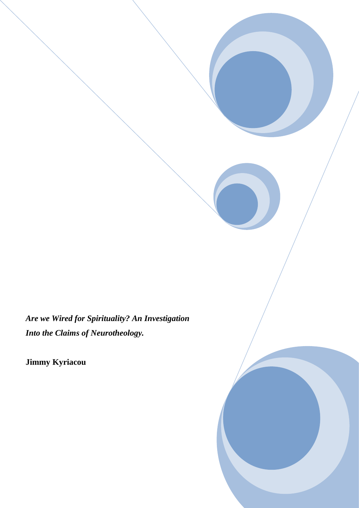*Are we Wired for Spirituality? An Investigation Into the Claims of Neurotheology.*

**Jimmy Kyriacou**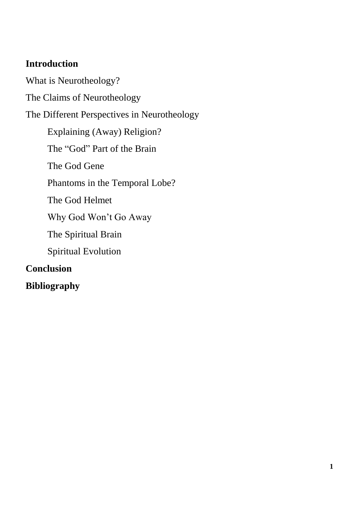# **Introduction**

What is Neurotheology? The Claims of Neurotheology The Different Perspectives in Neurotheology Explaining (Away) Religion? The "God" Part of the Brain The God Gene Phantoms in the Temporal Lobe? The God Helmet Why God Won't Go Away The Spiritual Brain Spiritual Evolution **Conclusion**

**Bibliography**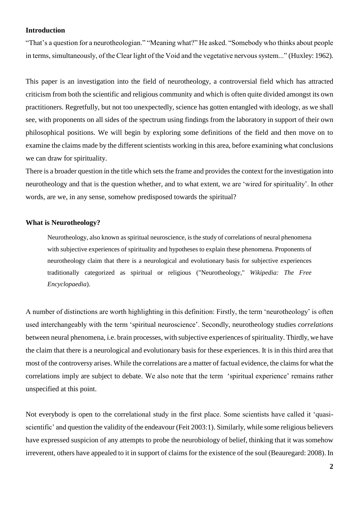## **Introduction**

"That's a question for a neurotheologian." "Meaning what?" He asked. "Somebody who thinks about people in terms, simultaneously, of the Clear light of the Void and the vegetative nervous system..." (Huxley: 1962).

This paper is an investigation into the field of neurotheology, a controversial field which has attracted criticism from both the scientific and religious community and which is often quite divided amongst its own practitioners. Regretfully, but not too unexpectedly, science has gotten entangled with ideology, as we shall see, with proponents on all sides of the spectrum using findings from the laboratory in support of their own philosophical positions. We will begin by exploring some definitions of the field and then move on to examine the claims made by the different scientists working in this area, before examining what conclusions we can draw for spirituality.

There is a broader question in the title which sets the frame and provides the context for the investigation into neurotheology and that is the question whether, and to what extent, we are 'wired for spirituality'. In other words, are we, in any sense, somehow predisposed towards the spiritual?

## **What is Neurotheology?**

Neurotheology, also known as spiritual neuroscience, is the study of correlations of neural phenomena with subjective experiences of spirituality and hypotheses to explain these phenomena. Proponents of neurotheology claim that there is a neurological and evolutionary basis for subjective experiences traditionally categorized as spiritual or religious ("Neurotheology," *Wikipedia: The Free Encyclopaedia*).

A number of distinctions are worth highlighting in this definition: Firstly, the term 'neurotheology' is often used interchangeably with the term 'spiritual neuroscience'. Secondly, neurotheology studies *correlations* between neural phenomena, i.e. brain processes, with subjective experiences of spirituality. Thirdly, we have the claim that there is a neurological and evolutionary basis for these experiences. It is in this third area that most of the controversy arises. While the correlations are a matter of factual evidence, the claims for what the correlations imply are subject to debate. We also note that the term 'spiritual experience' remains rather unspecified at this point.

Not everybody is open to the correlational study in the first place. Some scientists have called it 'quasiscientific' and question the validity of the endeavour (Feit 2003:1). Similarly, while some religious believers have expressed suspicion of any attempts to probe the neurobiology of belief, thinking that it was somehow irreverent, others have appealed to it in support of claims for the existence of the soul (Beauregard: 2008). In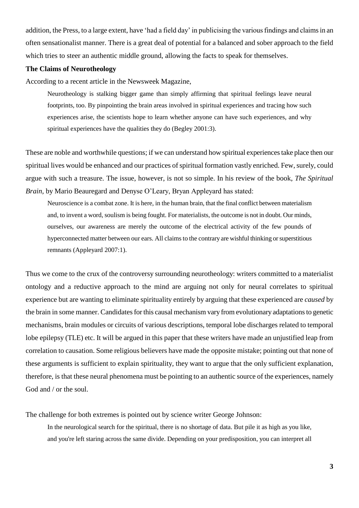addition, the Press, to a large extent, have 'had a field day' in publicising the various findings and claims in an often sensationalist manner. There is a great deal of potential for a balanced and sober approach to the field which tries to steer an authentic middle ground, allowing the facts to speak for themselves.

#### **The Claims of Neurotheology**

According to a recent article in the Newsweek Magazine,

Neurotheology is stalking bigger game than simply affirming that spiritual feelings leave neural footprints, too. By pinpointing the brain areas involved in spiritual experiences and tracing how such experiences arise, the scientists hope to learn whether anyone can have such experiences, and why spiritual experiences have the qualities they do (Begley 2001:3).

These are noble and worthwhile questions; if we can understand how spiritual experiences take place then our spiritual lives would be enhanced and our practices of spiritual formation vastly enriched. Few, surely, could argue with such a treasure. The issue, however, is not so simple. In his review of the book, *The Spiritual Brain*, by Mario Beauregard and Denyse O'Leary, Bryan Appleyard has stated:

Neuroscience is a combat zone. It is here, in the human brain, that the final conflict between materialism and, to invent a word, soulism is being fought. For materialists, the outcome is not in doubt. Our minds, ourselves, our awareness are merely the outcome of the electrical activity of the few pounds of hyperconnected matter between our ears. All claims to the contrary are wishful thinking or superstitious remnants (Appleyard 2007:1).

Thus we come to the crux of the controversy surrounding neurotheology: writers committed to a materialist ontology and a reductive approach to the mind are arguing not only for neural correlates to spiritual experience but are wanting to eliminate spirituality entirely by arguing that these experienced are *caused* by the brain in some manner. Candidates for this causal mechanism vary from evolutionary adaptations to genetic mechanisms, brain modules or circuits of various descriptions, temporal lobe discharges related to temporal lobe epilepsy (TLE) etc. It will be argued in this paper that these writers have made an unjustified leap from correlation to causation. Some religious believers have made the opposite mistake; pointing out that none of these arguments is sufficient to explain spirituality, they want to argue that the only sufficient explanation, therefore, is that these neural phenomena must be pointing to an authentic source of the experiences, namely God and / or the soul.

The challenge for both extremes is pointed out by science writer George Johnson:

In the neurological search for the spiritual, there is no shortage of data. But pile it as high as you like, and you're left staring across the same divide. Depending on your predisposition, you can interpret all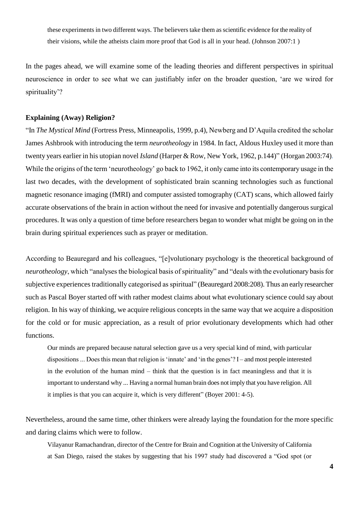these experiments in two different ways. The believers take them as scientific evidence for the reality of their visions, while the atheists claim more proof that God is all in your head. (Johnson 2007:1 )

In the pages ahead, we will examine some of the leading theories and different perspectives in spiritual neuroscience in order to see what we can justifiably infer on the broader question, 'are we wired for spirituality'?

## **Explaining (Away) Religion?**

―In *The Mystical Mind* (Fortress Press, Minneapolis, 1999, p.4), Newberg and D'Aquila credited the scholar James Ashbrook with introducing the term *neurotheology* in 1984. In fact, Aldous Huxley used it more than twenty years earlier in his utopian novel *Island* (Harper & Row, New York, 1962, p.144)" (Horgan 2003:74). While the origins of the term 'neurotheology' go back to 1962, it only came into its contemporary usage in the last two decades, with the development of sophisticated brain scanning technologies such as functional magnetic resonance imaging (fMRI) and computer assisted tomography (CAT) scans, which allowed fairly accurate observations of the brain in action without the need for invasive and potentially dangerous surgical procedures. It was only a question of time before researchers began to wonder what might be going on in the brain during spiritual experiences such as prayer or meditation.

According to Beauregard and his colleagues, "[e]volutionary psychology is the theoretical background of *neurotheology*, which "analyses the biological basis of spirituality" and "deals with the evolutionary basis for subjective experiences traditionally categorised as spiritual" (Beauregard 2008:208). Thus an early researcher such as Pascal Boyer started off with rather modest claims about what evolutionary science could say about religion. In his way of thinking, we acquire religious concepts in the same way that we acquire a disposition for the cold or for music appreciation, as a result of prior evolutionary developments which had other functions.

Our minds are prepared because natural selection gave us a very special kind of mind, with particular dispositions ... Does this mean that religion is 'innate' and 'in the genes'? I – and most people interested in the evolution of the human mind – think that the question is in fact meaningless and that it is important to understand why ... Having a normal human brain does not imply that you have religion. All it implies is that you can acquire it, which is very different" (Boyer 2001: 4-5).

Nevertheless, around the same time, other thinkers were already laying the foundation for the more specific and daring claims which were to follow.

Vilayanur Ramachandran, director of the Centre for Brain and Cognition at the University of California at San Diego, raised the stakes by suggesting that his 1997 study had discovered a "God spot (or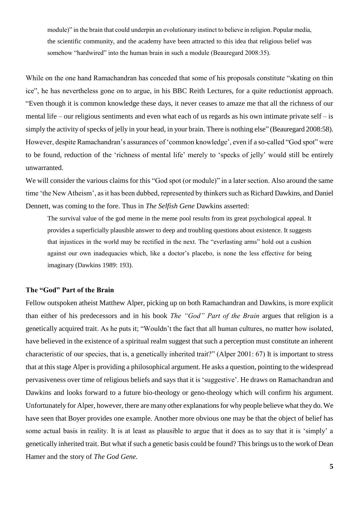module)" in the brain that could underpin an evolutionary instinct to believe in religion. Popular media, the scientific community, and the academy have been attracted to this idea that religious belief was somehow "hardwired" into the human brain in such a module (Beauregard 2008:35).

While on the one hand Ramachandran has conceded that some of his proposals constitute "skating on thin ice", he has nevertheless gone on to argue, in his BBC Reith Lectures, for a quite reductionist approach. ―Even though it is common knowledge these days, it never ceases to amaze me that all the richness of our mental life – our religious sentiments and even what each of us regards as his own intimate private self – is simply the activity of specks of jelly in your head, in your brain. There is nothing else" (Beauregard 2008:58). However, despite Ramachandran's assurances of 'common knowledge', even if a so-called "God spot" were to be found, reduction of the 'richness of mental life' merely to 'specks of jelly' would still be entirely unwarranted.

We will consider the various claims for this "God spot (or module)" in a later section. Also around the same time 'the New Atheism', as it has been dubbed, represented by thinkers such as Richard Dawkins, and Daniel Dennett, was coming to the fore. Thus in *The Selfish Gene* Dawkins asserted:

The survival value of the god meme in the meme pool results from its great psychological appeal. It provides a superficially plausible answer to deep and troubling questions about existence. It suggests that injustices in the world may be rectified in the next. The "everlasting arms" hold out a cushion against our own inadequacies which, like a doctor's placebo, is none the less effective for being imaginary (Dawkins 1989: 193).

# **The "God" Part of the Brain**

Fellow outspoken atheist Matthew Alper, picking up on both Ramachandran and Dawkins, is more explicit than either of his predecessors and in his book *The "God" Part of the Brain* argues that religion is a genetically acquired trait. As he puts it; "Wouldn't the fact that all human cultures, no matter how isolated, have believed in the existence of a spiritual realm suggest that such a perception must constitute an inherent characteristic of our species, that is, a genetically inherited trait?" (Alper 2001: 67) It is important to stress that at this stage Alper is providing a philosophical argument. He asks a question, pointing to the widespread pervasiveness over time of religious beliefs and says that it is ‗suggestive'. He draws on Ramachandran and Dawkins and looks forward to a future bio-theology or geno-theology which will confirm his argument. Unfortunately for Alper, however, there are many other explanations for why people believe what they do. We have seen that Boyer provides one example. Another more obvious one may be that the object of belief has some actual basis in reality. It is at least as plausible to argue that it does as to say that it is 'simply' a genetically inherited trait. But what if such a genetic basis could be found? This brings us to the work of Dean Hamer and the story of *The God Gene.*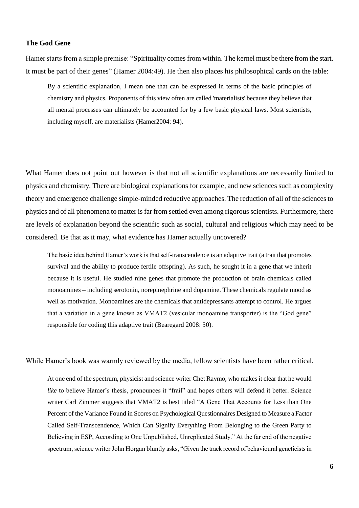## **The God Gene**

Hamer starts from a simple premise: "Spirituality comes from within. The kernel must be there from the start. It must be part of their genes" (Hamer 2004:49). He then also places his philosophical cards on the table:

By a scientific explanation, I mean one that can be expressed in terms of the basic principles of chemistry and physics. Proponents of this view often are called 'materialists' because they believe that all mental processes can ultimately be accounted for by a few basic physical laws. Most scientists, including myself, are materialists (Hamer2004: 94).

What Hamer does not point out however is that not all scientific explanations are necessarily limited to physics and chemistry. There are biological explanations for example, and new sciences such as complexity theory and emergence challenge simple-minded reductive approaches. The reduction of all of the sciences to physics and of all phenomena to matter is far from settled even among rigorous scientists. Furthermore, there are levels of explanation beyond the scientific such as social, cultural and religious which may need to be considered. Be that as it may, what evidence has Hamer actually uncovered?

The basic idea behind Hamer's work is that self-transcendence is an adaptive trait (a trait that promotes survival and the ability to produce fertile offspring). As such, he sought it in a gene that we inherit because it is useful. He studied nine genes that promote the production of brain chemicals called monoamines – including serotonin, norepinephrine and dopamine. These chemicals regulate mood as well as motivation. Monoamines are the chemicals that antidepressants attempt to control. He argues that a variation in a gene known as VMAT2 (vesicular monoamine transporter) is the "God gene" responsible for coding this adaptive trait (Bearegard 2008: 50).

While Hamer's book was warmly reviewed by the media, fellow scientists have been rather critical.

At one end of the spectrum, physicist and science writer Chet Raymo, who makes it clear that he would *like* to believe Hamer's thesis, pronounces it "frail" and hopes others will defend it better. Science writer Carl Zimmer suggests that VMAT2 is best titled "A Gene That Accounts for Less than One Percent of the Variance Found in Scores on Psychological Questionnaires Designed to Measure a Factor Called Self-Transcendence, Which Can Signify Everything From Belonging to the Green Party to Believing in ESP, According to One Unpublished, Unreplicated Study." At the far end of the negative spectrum, science writer John Horgan bluntly asks, "Given the track record of behavioural geneticists in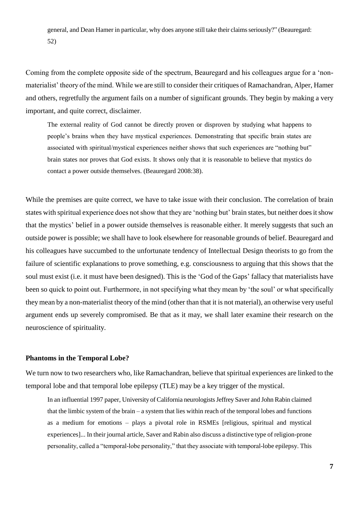general, and Dean Hamer in particular, why does anyone still take their claims seriously?" (Beauregard: 52)

Coming from the complete opposite side of the spectrum, Beauregard and his colleagues argue for a 'nonmaterialist' theory of the mind. While we are still to consider their critiques of Ramachandran, Alper, Hamer and others, regretfully the argument fails on a number of significant grounds. They begin by making a very important, and quite correct, disclaimer.

The external reality of God cannot be directly proven or disproven by studying what happens to people's brains when they have mystical experiences. Demonstrating that specific brain states are associated with spiritual/mystical experiences neither shows that such experiences are "nothing but" brain states nor proves that God exists. It shows only that it is reasonable to believe that mystics do contact a power outside themselves. (Beauregard 2008:38).

While the premises are quite correct, we have to take issue with their conclusion. The correlation of brain states with spiritual experience does not show that they are 'nothing but' brain states, but neither does it show that the mystics' belief in a power outside themselves is reasonable either. It merely suggests that such an outside power is possible; we shall have to look elsewhere for reasonable grounds of belief. Beauregard and his colleagues have succumbed to the unfortunate tendency of Intellectual Design theorists to go from the failure of scientific explanations to prove something, e.g. consciousness to arguing that this shows that the soul must exist (i.e. it must have been designed). This is the 'God of the Gaps' fallacy that materialists have been so quick to point out. Furthermore, in not specifying what they mean by 'the soul' or what specifically they mean by a non-materialist theory of the mind (other than that it is not material), an otherwise very useful argument ends up severely compromised. Be that as it may, we shall later examine their research on the neuroscience of spirituality.

#### **Phantoms in the Temporal Lobe?**

We turn now to two researchers who, like Ramachandran, believe that spiritual experiences are linked to the temporal lobe and that temporal lobe epilepsy (TLE) may be a key trigger of the mystical.

In an influential 1997 paper, University of California neurologists Jeffrey Saver and John Rabin claimed that the limbic system of the brain – a system that lies within reach of the temporal lobes and functions as a medium for emotions – plays a pivotal role in RSMEs [religious, spiritual and mystical experiences]... In their journal article, Saver and Rabin also discuss a distinctive type of religion-prone personality, called a "temporal-lobe personality," that they associate with temporal-lobe epilepsy. This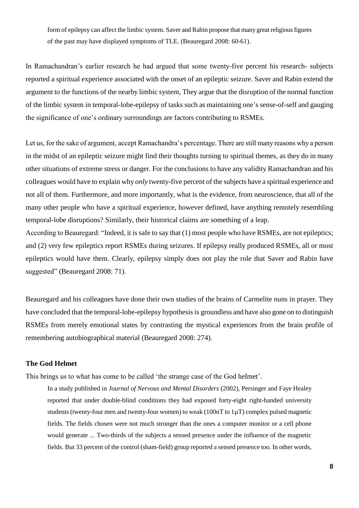form of epilepsy can affect the limbic system. Saver and Rabin propose that many great religious figures of the past may have displayed symptoms of TLE. (Beauregard 2008: 60-61).

In Ramachandran's earlier research he had argued that some twenty-five percent his research- subjects reported a spiritual experience associated with the onset of an epileptic seizure. Saver and Rabin extend the argument to the functions of the nearby limbic system, They argue that the disruption of the normal function of the limbic system in temporal-lobe-epilepsy of tasks such as maintaining one's sense-of-self and gauging the significance of one's ordinary surroundings are factors contributing to RSMEs.

Let us, for the sake of argument, accept Ramachandra's percentage. There are still many reasons why a person in the midst of an epileptic seizure might find their thoughts turning to spiritual themes, as they do in many other situations of extreme stress or danger. For the conclusions to have any validity Ramachandran and his colleagues would have to explain why *only* twenty-five percent of the subjects have a spiritual experience and not all of them. Furthermore, and more importantly, what is the evidence, from neuroscience, that all of the many other people who have a spiritual experience, however defined, have anything remotely resembling temporal-lobe disruptions? Similarly, their historical claims are something of a leap.

According to Beauregard: "Indeed, it is safe to say that (1) most people who have RSMEs, are not epileptics; and (2) very few epileptics report RSMEs during seizures. If epilepsy really produced RSMEs, all or most epileptics would have them. Clearly, epilepsy simply does not play the role that Saver and Rabin have suggested" (Beauregard 2008: 71).

Beauregard and his colleagues have done their own studies of the brains of Carmelite nuns in prayer. They have concluded that the temporal-lobe-epilepsy hypothesis is groundless and have also gone on to distinguish RSMEs from merely emotional states by contrasting the mystical experiences from the brain profile of remembering autobiographical material (Beauregard 2008: 274).

#### **The God Helmet**

This brings us to what has come to be called 'the strange case of the God helmet'.

In a study published in *Journal of Nervous and Mental Disorders* (2002), Persinger and Faye Healey reported that under double-blind conditions they had exposed forty-eight right-handed university students (twenty-four men and twenty-four women) to weak (100nT to 1µT) complex pulsed magnetic fields. The fields chosen were not much stronger than the ones a computer monitor or a cell phone would generate ... Two-thirds of the subjects a sensed presence under the influence of the magnetic fields. But 33 percent of the control (sham-field) group reported a sensed presence too. In other words,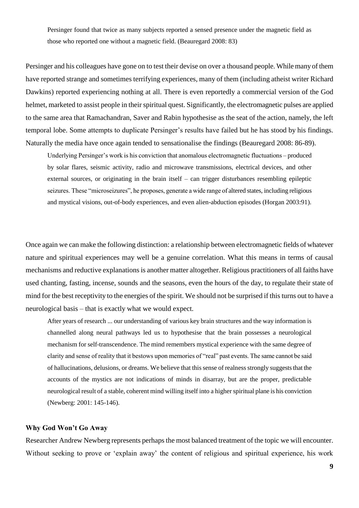Persinger found that twice as many subjects reported a sensed presence under the magnetic field as those who reported one without a magnetic field. (Beauregard 2008: 83)

Persinger and his colleagues have gone on to test their devise on over a thousand people. While many of them have reported strange and sometimes terrifying experiences, many of them (including atheist writer Richard Dawkins) reported experiencing nothing at all. There is even reportedly a commercial version of the God helmet, marketed to assist people in their spiritual quest. Significantly, the electromagnetic pulses are applied to the same area that Ramachandran, Saver and Rabin hypothesise as the seat of the action, namely, the left temporal lobe. Some attempts to duplicate Persinger's results have failed but he has stood by his findings. Naturally the media have once again tended to sensationalise the findings (Beauregard 2008: 86-89).

Underlying Persinger's work is his conviction that anomalous electromagnetic fluctuations – produced by solar flares, seismic activity, radio and microwave transmissions, electrical devices, and other external sources, or originating in the brain itself – can trigger disturbances resembling epileptic seizures. These "microseizures", he proposes, generate a wide range of altered states, including religious and mystical visions, out-of-body experiences, and even alien-abduction episodes (Horgan 2003:91).

Once again we can make the following distinction: a relationship between electromagnetic fields of whatever nature and spiritual experiences may well be a genuine correlation. What this means in terms of causal mechanisms and reductive explanations is another matter altogether. Religious practitioners of all faiths have used chanting, fasting, incense, sounds and the seasons, even the hours of the day, to regulate their state of mind for the best receptivity to the energies of the spirit. We should not be surprised if this turns out to have a neurological basis – that is exactly what we would expect.

After years of research ... our understanding of various key brain structures and the way information is channelled along neural pathways led us to hypothesise that the brain possesses a neurological mechanism for self-transcendence. The mind remembers mystical experience with the same degree of clarity and sense of reality that it bestows upon memories of "real" past events. The same cannot be said of hallucinations, delusions, or dreams. We believe that this sense of realness strongly suggests that the accounts of the mystics are not indications of minds in disarray, but are the proper, predictable neurological result of a stable, coherent mind willing itself into a higher spiritual plane is his conviction (Newberg: 2001: 145-146).

## **Why God Won't Go Away**

Researcher Andrew Newberg represents perhaps the most balanced treatment of the topic we will encounter. Without seeking to prove or 'explain away' the content of religious and spiritual experience, his work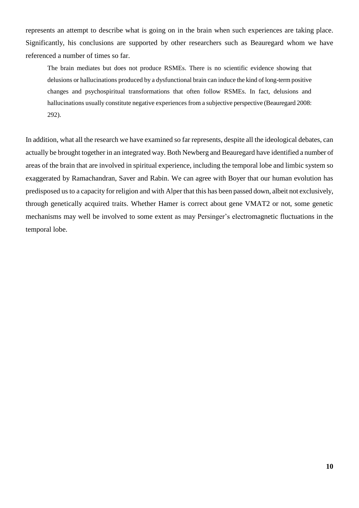represents an attempt to describe what is going on in the brain when such experiences are taking place. Significantly, his conclusions are supported by other researchers such as Beauregard whom we have referenced a number of times so far.

The brain mediates but does not produce RSMEs. There is no scientific evidence showing that delusions or hallucinations produced by a dysfunctional brain can induce the kind of long-term positive changes and psychospiritual transformations that often follow RSMEs. In fact, delusions and hallucinations usually constitute negative experiences from a subjective perspective (Beauregard 2008: 292).

In addition, what all the research we have examined so far represents, despite all the ideological debates, can actually be brought together in an integrated way. Both Newberg and Beauregard have identified a number of areas of the brain that are involved in spiritual experience, including the temporal lobe and limbic system so exaggerated by Ramachandran, Saver and Rabin. We can agree with Boyer that our human evolution has predisposed us to a capacity for religion and with Alper that this has been passed down, albeit not exclusively, through genetically acquired traits. Whether Hamer is correct about gene VMAT2 or not, some genetic mechanisms may well be involved to some extent as may Persinger's electromagnetic fluctuations in the temporal lobe.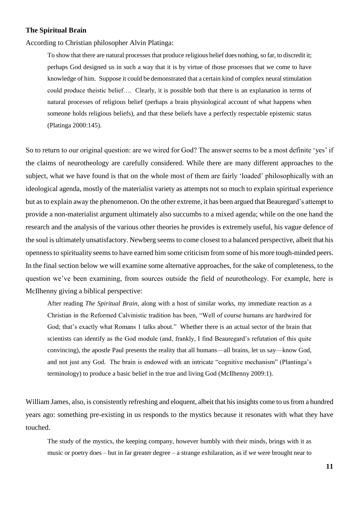# **The Spiritual Brain**

According to Christian philosopher Alvin Platinga:

To show that there are natural processes that produce religious belief does nothing, so far, to discredit it; perhaps God designed us in such a way that it is by virtue of those processes that we come to have knowledge of him. Suppose it could be demonstrated that a certain kind of complex neural stimulation could produce theistic belief…. Clearly, it is possible both that there is an explanation in terms of natural processes of religious belief (perhaps a brain physiological account of what happens when someone holds religious beliefs), and that these beliefs have a perfectly respectable epistemic status (Platinga 2000:145).

So to return to our original question: are we wired for God? The answer seems to be a most definite 'yes' if the claims of neurotheology are carefully considered. While there are many different approaches to the subject, what we have found is that on the whole most of them are fairly 'loaded' philosophically with an ideological agenda, mostly of the materialist variety as attempts not so much to explain spiritual experience but as to explain away the phenomenon. On the other extreme, it has been argued that Beauregard's attempt to provide a non-materialist argument ultimately also succumbs to a mixed agenda; while on the one hand the research and the analysis of the various other theories he provides is extremely useful, his vague defence of the soul is ultimately unsatisfactory. Newberg seems to come closest to a balanced perspective, albeit that his openness to spirituality seems to have earned him some criticism from some of his more tough-minded peers. In the final section below we will examine some alternative approaches, for the sake of completeness, to the question we've been examining, from sources outside the field of neurotheology. For example, here is McIlhenny giving a biblical perspective:

After reading *The Spiritual Brain*, along with a host of similar works, my immediate reaction as a Christian in the Reformed Calvinistic tradition has been, "Well of course humans are hardwired for God; that's exactly what Romans 1 talks about." Whether there is an actual sector of the brain that scientists can identify as the God module (and, frankly, I find Beauregard's refutation of this quite convincing), the apostle Paul presents the reality that all humans—all brains, let us say—know God, and not just any God. The brain is endowed with an intricate "cognitive mechanism" (Plantinga's terminology) to produce a basic belief in the true and living God (McIlhenny 2009:1).

William James, also, is consistently refreshing and eloquent, albeit that his insights come to us from a hundred years ago: something pre-existing in us responds to the mystics because it resonates with what they have touched.

The study of the mystics, the keeping company, however humbly with their minds, brings with it as music or poetry does – but in far greater degree – a strange exhilaration, as if we were brought near to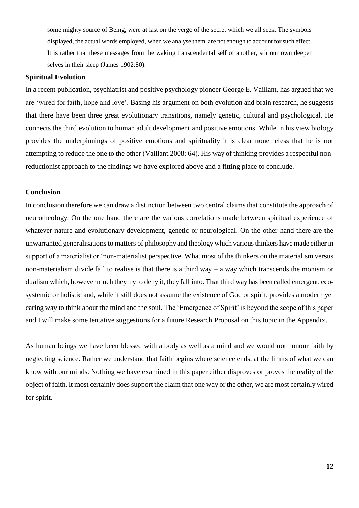some mighty source of Being, were at last on the verge of the secret which we all seek. The symbols displayed, the actual words employed, when we analyse them, are not enough to account for such effect. It is rather that these messages from the waking transcendental self of another, stir our own deeper selves in their sleep (James 1902:80).

#### **Spiritual Evolution**

In a recent publication, psychiatrist and positive psychology pioneer George E. Vaillant, has argued that we are 'wired for faith, hope and love'. Basing his argument on both evolution and brain research, he suggests that there have been three great evolutionary transitions, namely genetic, cultural and psychological. He connects the third evolution to human adult development and positive emotions. While in his view biology provides the underpinnings of positive emotions and spirituality it is clear nonetheless that he is not attempting to reduce the one to the other (Vaillant 2008: 64). His way of thinking provides a respectful nonreductionist approach to the findings we have explored above and a fitting place to conclude.

### **Conclusion**

In conclusion therefore we can draw a distinction between two central claims that constitute the approach of neurotheology. On the one hand there are the various correlations made between spiritual experience of whatever nature and evolutionary development, genetic or neurological. On the other hand there are the unwarranted generalisations to matters of philosophy and theology which various thinkers have made either in support of a materialist or 'non-materialist perspective. What most of the thinkers on the materialism versus non-materialism divide fail to realise is that there is a third way – a way which transcends the monism or dualism which, however much they try to deny it, they fall into. That third way has been called emergent, ecosystemic or holistic and, while it still does not assume the existence of God or spirit, provides a modern yet caring way to think about the mind and the soul. The ‗Emergence of Spirit' is beyond the scope of this paper and I will make some tentative suggestions for a future Research Proposal on this topic in the Appendix.

As human beings we have been blessed with a body as well as a mind and we would not honour faith by neglecting science. Rather we understand that faith begins where science ends, at the limits of what we can know with our minds. Nothing we have examined in this paper either disproves or proves the reality of the object of faith. It most certainly does support the claim that one way or the other, we are most certainly wired for spirit.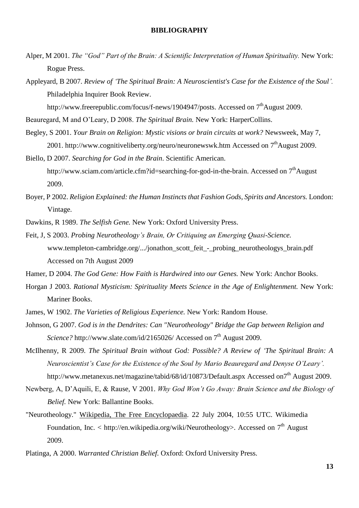#### **BIBLIOGRAPHY**

- Alper, M 2001. *The "God" Part of the Brain: A Scientific Interpretation of Human Spirituality.* New York: Rogue Press.
- Appleyard, B 2007. *Review of "The Spiritual Brain: A Neuroscientist's Case for the Existence of the Soul".* Philadelphia Inquirer Book Review.

http://www.freerepublic.com/focus/f-news/1904947/posts. Accessed on 7<sup>th</sup>August 2009.

Beauregard, M and O'Leary, D 2008. *The Spiritual Brain.* New York: HarperCollins.

Begley, S 2001. *Your Brain on Religion: Mystic visions or brain circuits at work?* Newsweek, May 7, 2001. http://www.cognitiveliberty.org/neuro/neuronewswk.htm Accessed on  $7<sup>th</sup>$ August 2009.

Biello, D 2007. *Searching for God in the Brain*. Scientific American. http://www.sciam.com/article.cfm?id=searching-for-god-in-the-brain. Accessed on  $7<sup>th</sup>$ August 2009.

- Boyer, P 2002. *Religion Explained: the Human Instincts that Fashion Gods, Spirits and Ancestors.* London: Vintage.
- Dawkins, R 1989. *The Selfish Gene.* New York: Oxford University Press.
- Feit, J, S 2003. *Probing Neurotheology"s Brain, Or Critiquing an Emerging Quasi-Science.* www.templeton-cambridge.org/.../jonathon\_scott\_feit\_-\_probing\_neurotheologys\_brain.pdf Accessed on 7th August 2009

Hamer, D 2004. *The God Gene: How Faith is Hardwired into our Genes.* New York: Anchor Books.

- Horgan J 2003. *Rational Mysticism: Spirituality Meets Science in the Age of Enlightenment.* New York: Mariner Books.
- James, W 1902. *The Varieties of Religious Experience.* New York: Random House.
- Johnson, G 2007. *God is in the Dendrites: Can "Neurotheology" Bridge the Gap between Religion and Science?* http://www.slate.com/id/2165026/ Accessed on 7<sup>th</sup> August 2009.
- McIlhenny, R 2009. *The Spiritual Brain without God: Possible? A Review of "The Spiritual Brain: A Neuroscientist"s Case for the Existence of the Soul by Mario Beauregard and Denyse O"Leary".* http://www.metanexus.net/magazine/tabid/68/id/10873/Default.aspx Accessed on7<sup>th</sup> August 2009.
- Newberg, A, D'Aquili, E, & Rause, V 2001. *Why God Won"t Go Away: Brain Science and the Biology of Belief.* New York: Ballantine Books.
- "Neurotheology." Wikipedia, The Free Encyclopaedia. 22 July 2004, 10:55 UTC. Wikimedia Foundation, Inc.  $\lt$  http://en.wikipedia.org/wiki/Neurotheology>. Accessed on  $7<sup>th</sup>$  August 2009.

Platinga, A 2000. *Warranted Christian Belief.* Oxford: Oxford University Press.